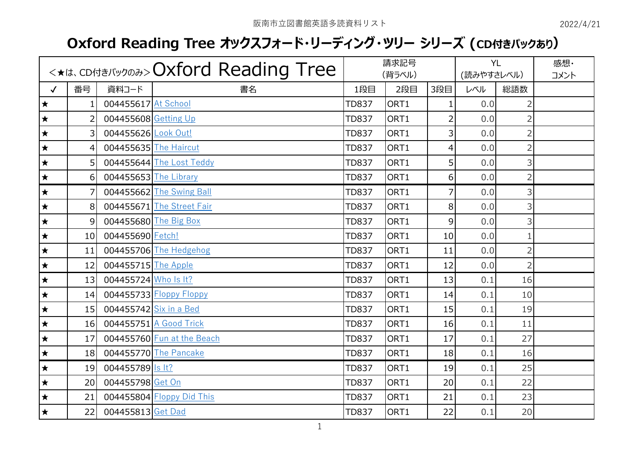## **Oxford Reading Tree オックスフォード・リーディング・ツリー シリーズ (CD付きパックあり)**

|              |                |                        | <*<*. CDAtalivyooa> Oxford Reading Tree |              | 請求記号<br>(背ラベル) |                | (読みやすさレベル) | <b>YL</b>      | 感想·<br>コメント |
|--------------|----------------|------------------------|-----------------------------------------|--------------|----------------|----------------|------------|----------------|-------------|
| $\checkmark$ | 番号             | 資料コード                  | 書名                                      | 1段目          | 2段目            | 3段目            | レベル        | 総語数            |             |
| $\bigstar$   | 1              | 004455617 At School    |                                         | <b>TD837</b> | ORT1           | 1              | 0.0        | $\overline{2}$ |             |
| $\bigstar$   | $\overline{2}$ | 004455608 Getting Up   |                                         | <b>TD837</b> | ORT1           | $\overline{2}$ | 0.0        | $\overline{2}$ |             |
| $\star$      | 3              | 004455626 Look Out!    |                                         | <b>TD837</b> | ORT1           | 3              | 0,0        | $\overline{2}$ |             |
| $\star$      | 4              | 004455635 The Haircut  |                                         | <b>TD837</b> | ORT1           | 4              | 0.0        | $\overline{2}$ |             |
| $\star$      | 5              |                        | 004455644 The Lost Teddy                | <b>TD837</b> | ORT1           | 5              | 0.0        | 3              |             |
| $\bigstar$   | 6              | 004455653 The Library  |                                         | <b>TD837</b> | ORT1           | 6              | 0.0        | $\overline{2}$ |             |
| $\star$      | 7              |                        | 004455662 The Swing Ball                | <b>TD837</b> | ORT1           | $\overline{7}$ | 0.0        | 3              |             |
| $\bigstar$   | 8              |                        | 004455671 The Street Fair               | <b>TD837</b> | ORT1           | 8              | 0.0        | 3              |             |
| $\bigstar$   | 9              |                        | 004455680 The Big Box                   | <b>TD837</b> | ORT1           | 9              | 0.0        | 3              |             |
| $\star$      | 10             | 004455690 Fetch!       |                                         | <b>TD837</b> | ORT1           | 10             | 0.0        | $\mathbf{1}$   |             |
| $\bigstar$   | 11             |                        | 004455706 The Hedgehog                  | <b>TD837</b> | ORT1           | 11             | 0.0        | $\overline{2}$ |             |
| $\star$      | 12             | 004455715 The Apple    |                                         | <b>TD837</b> | ORT1           | 12             | 0.0        | $\overline{2}$ |             |
| $\star$      | 13             | 004455724 Who Is It?   |                                         | <b>TD837</b> | ORT1           | 13             | 0.1        | 16             |             |
| $\star$      | 14             |                        | 004455733 Floppy Floppy                 | <b>TD837</b> | ORT1           | 14             | 0.1        | 10             |             |
| $\star$      | 15             | 004455742 Six in a Bed |                                         | <b>TD837</b> | ORT1           | 15             | 0.1        | 19             |             |
| $\star$      | 16             |                        | 004455751 A Good Trick                  | <b>TD837</b> | ORT1           | 16             | 0.1        | 11             |             |
| $\star$      | 17             |                        | 004455760 Fun at the Beach              | <b>TD837</b> | ORT1           | 17             | 0.1        | 27             |             |
| $\star$      | 18             |                        | 004455770 The Pancake                   | <b>TD837</b> | ORT1           | 18             | 0.1        | 16             |             |
| $\star$      | 19             | 004455789  s  t?       |                                         | <b>TD837</b> | ORT1           | 19             | 0.1        | 25             |             |
| $\star$      | 20             | 004455798 Get On       |                                         | <b>TD837</b> | ORT1           | 20             | 0.1        | 22             |             |
| $\star$      | 21             |                        | 004455804 Floppy Did This               | <b>TD837</b> | ORT1           | 21             | 0.1        | 23             |             |
| $\star$      | 22             | 004455813 Get Dad      |                                         | <b>TD837</b> | ORT1           | 22             | 0.1        | 20             |             |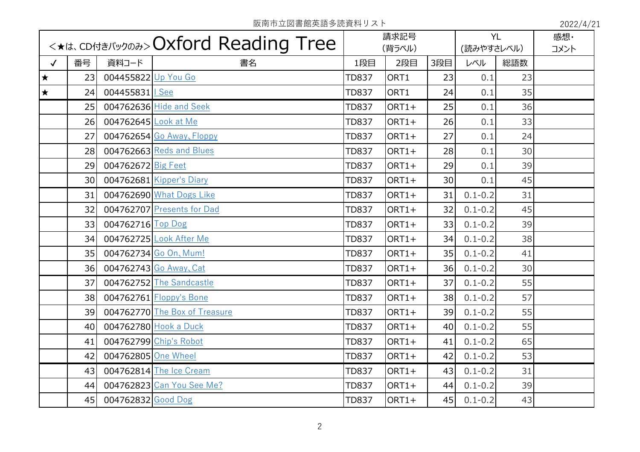|              |    |                      |                               |              | 請求記号<br>(背ラベル) |                 | <b>YL</b><br>(読みやすさレベル) |     | 感想·<br>コメント |
|--------------|----|----------------------|-------------------------------|--------------|----------------|-----------------|-------------------------|-----|-------------|
| $\checkmark$ | 番号 | 資料コード                | 書名                            | 1段目          | 2段目            | 3段目             | レベル                     | 総語数 |             |
| $\star$      | 23 | 004455822 Up You Go  |                               | <b>TD837</b> | ORT1           | 23              | 0.1                     | 23  |             |
| $\star$      | 24 | 004455831   See      |                               | <b>TD837</b> | ORT1           | 24              | 0.1                     | 35  |             |
|              | 25 |                      | 004762636 Hide and Seek       | <b>TD837</b> | ORT1+          | 25              | 0.1                     | 36  |             |
|              | 26 | 004762645 Look at Me |                               | <b>TD837</b> | ORT1+          | 26              | 0.1                     | 33  |             |
|              | 27 |                      | 004762654 Go Away, Floppy     | <b>TD837</b> | ORT1+          | 27              | 0.1                     | 24  |             |
|              | 28 |                      | 004762663 Reds and Blues      | <b>TD837</b> | ORT1+          | 28              | 0.1                     | 30  |             |
|              | 29 | 004762672 Big Feet   |                               | <b>TD837</b> | ORT1+          | 29              | 0.1                     | 39  |             |
|              | 30 |                      | 004762681 Kipper's Diary      | <b>TD837</b> | ORT1+          | 30 <sup>1</sup> | 0.1                     | 45  |             |
|              | 31 |                      | 004762690 What Dogs Like      | <b>TD837</b> | $ORT1+$        | 31              | $0.1 - 0.2$             | 31  |             |
|              | 32 |                      | 004762707 Presents for Dad    | <b>TD837</b> | ORT1+          | 32              | $0.1 - 0.2$             | 45  |             |
|              | 33 | 004762716 Top Dog    |                               | <b>TD837</b> | ORT1+          | 33              | $0.1 - 0.2$             | 39  |             |
|              | 34 |                      | 004762725 Look After Me       | <b>TD837</b> | ORT1+          | 34              | $0.1 - 0.2$             | 38  |             |
|              | 35 |                      | 004762734 Go On, Mum!         | <b>TD837</b> | ORT1+          | 35              | $0.1 - 0.2$             | 41  |             |
|              | 36 |                      | 004762743 Go Away, Cat        | <b>TD837</b> | ORT1+          | 36              | $0.1 - 0.2$             | 30  |             |
|              | 37 |                      | 004762752 The Sandcastle      | <b>TD837</b> | ORT1+          | 37              | $0.1 - 0.2$             | 55  |             |
|              | 38 |                      | 004762761 Floppy's Bone       | <b>TD837</b> | ORT1+          | 38              | $0.1 - 0.2$             | 57  |             |
|              | 39 |                      | 004762770 The Box of Treasure | <b>TD837</b> | ORT1+          | 39              | $0.1 - 0.2$             | 55  |             |
|              | 40 |                      | 004762780 Hook a Duck         | <b>TD837</b> | ORT1+          | 40              | $0.1 - 0.2$             | 55  |             |
|              | 41 |                      | 004762799 Chip's Robot        | <b>TD837</b> | ORT1+          | 41              | $0.1 - 0.2$             | 65  |             |
|              | 42 | 004762805 One Wheel  |                               | <b>TD837</b> | ORT1+          | 42              | $0.1 - 0.2$             | 53  |             |
|              | 43 |                      | 004762814 The Ice Cream       | <b>TD837</b> | ORT1+          | 43              | $0.1 - 0.2$             | 31  |             |
|              | 44 |                      | 004762823 Can You See Me?     | <b>TD837</b> | ORT1+          | 44              | $0.1 - 0.2$             | 39  |             |
|              | 45 | 004762832 Good Dog   |                               | <b>TD837</b> | ORT1+          | 45              | $0.1 - 0.2$             | 43  |             |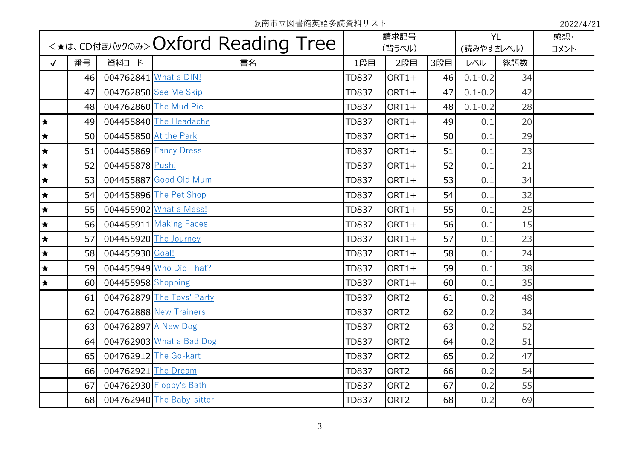|              | <*<*. <cdatal(wyoa>&gt;Oxford Reading Tree</cdatal(wyoa> |                       |                           | 請求記号<br>(背ラベル) |                  | <b>YL</b><br>(読みやすさレベル) |             | 感想·<br>コメント |  |
|--------------|----------------------------------------------------------|-----------------------|---------------------------|----------------|------------------|-------------------------|-------------|-------------|--|
| $\checkmark$ | 番号                                                       | 資料コード                 | 書名                        | 1段目            | 2段目              | 3段目                     | レベル         | 総語数         |  |
|              | 46                                                       |                       | 004762841 What a DIN!     | <b>TD837</b>   | ORT1+            | 46                      | $0.1 - 0.2$ | 34          |  |
|              | 47                                                       |                       | 004762850 See Me Skip     | <b>TD837</b>   | $ORT1+$          | 47                      | $0.1 - 0.2$ | 42          |  |
|              | 48                                                       |                       | 004762860 The Mud Pie     | <b>TD837</b>   | $ORT1+$          | 48                      | $0.1 - 0.2$ | 28          |  |
| $\bigstar$   | 49                                                       |                       | 004455840 The Headache    | <b>TD837</b>   | $ORT1+$          | 49                      | 0.1         | 20          |  |
| $\bigstar$   | 50                                                       | 004455850 At the Park |                           | <b>TD837</b>   | $ORT1+$          | 50                      | 0.1         | 29          |  |
| $\bigstar$   | 51                                                       |                       | 004455869 Fancy Dress     | <b>TD837</b>   | $ORT1+$          | 51                      | 0.1         | 23          |  |
| $\bigstar$   | 52                                                       | 004455878 Push!       |                           | <b>TD837</b>   | $ORT1+$          | 52                      | 0.1         | 21          |  |
| $\bigstar$   | 53                                                       |                       | 004455887 Good Old Mum    | <b>TD837</b>   | $ORT1+$          | 53                      | 0.1         | 34          |  |
| $\bigstar$   | 54                                                       |                       | 004455896 The Pet Shop    | <b>TD837</b>   | $ORT1+$          | 54                      | 0.1         | 32          |  |
| $\bigstar$   | 55                                                       |                       | 004455902 What a Mess!    | <b>TD837</b>   | $ORT1+$          | 55                      | 0.1         | 25          |  |
| $\bigstar$   | 56                                                       |                       | 004455911 Making Faces    | <b>TD837</b>   | ORT1+            | 56                      | 0.1         | 15          |  |
| $\bigstar$   | 57                                                       |                       | 004455920 The Journey     | <b>TD837</b>   | $ORT1+$          | 57                      | 0.1         | 23          |  |
| $\bigstar$   | 58                                                       | 004455930 Goal!       |                           | <b>TD837</b>   | $ORT1+$          | 58                      | 0.1         | 24          |  |
| $\star$      | 59                                                       |                       | 004455949 Who Did That?   | <b>TD837</b>   | ORT1+            | 59                      | 0.1         | 38          |  |
| $\star$      | 60                                                       | 004455958 Shopping    |                           | <b>TD837</b>   | ORT1+            | 60                      | 0.1         | 35          |  |
|              | 61                                                       |                       | 004762879 The Toys' Party | <b>TD837</b>   | ORT <sub>2</sub> | 61                      | 0.2         | 48          |  |
|              | 62                                                       |                       | 004762888 New Trainers    | <b>TD837</b>   | ORT <sub>2</sub> | 62                      | 0.2         | 34          |  |
|              | 63                                                       | 004762897 A New Dog   |                           | <b>TD837</b>   | ORT <sub>2</sub> | 63                      | 0.2         | 52          |  |
|              | 64                                                       |                       | 004762903 What a Bad Dog! | <b>TD837</b>   | ORT <sub>2</sub> | 64                      | 0.2         | 51          |  |
|              | 65                                                       |                       | 004762912 The Go-kart     | <b>TD837</b>   | ORT <sub>2</sub> | 65                      | 0.2         | 47          |  |
|              | 66                                                       | 004762921 The Dream   |                           | <b>TD837</b>   | ORT <sub>2</sub> | 66                      | 0.2         | 54          |  |
|              | 67                                                       |                       | 004762930 Floppy's Bath   | <b>TD837</b>   | ORT <sub>2</sub> | 67                      | 0.2         | 55          |  |
|              | 68                                                       |                       | 004762940 The Baby-sitter | <b>TD837</b>   | ORT <sub>2</sub> | 68                      | 0.2         | 69          |  |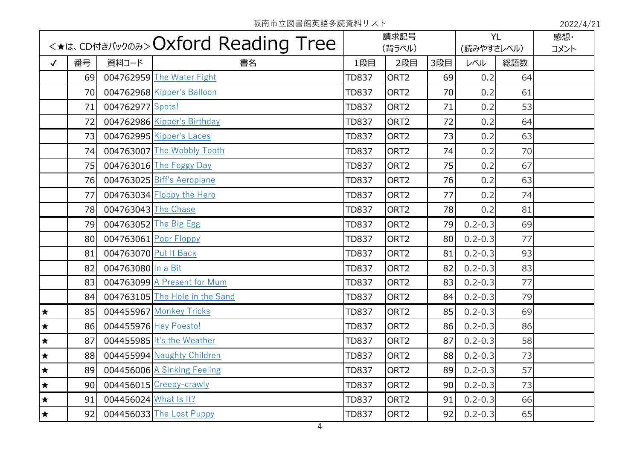|              |                 |                       | <*<*.<br>cDA45/(y) and>> Oxford Reading Tree |              | 請求記号             |                 | <b>YL</b>   |     | 感想·  |
|--------------|-----------------|-----------------------|----------------------------------------------|--------------|------------------|-----------------|-------------|-----|------|
|              |                 |                       |                                              |              | (背ラベル)           |                 | (読みやすさレベル)  |     | コメント |
| $\checkmark$ | 番号              | 資料コード                 | 書名                                           | 1段目          | 2段目              | 3段目             | レベル         | 総語数 |      |
|              | 69              |                       | 004762959 The Water Fight                    | <b>TD837</b> | ORT <sub>2</sub> | 69              | 0.2         | 64  |      |
|              | 70              |                       | 004762968 Kipper's Balloon                   | <b>TD837</b> | ORT <sub>2</sub> | 70              | 0.2         | 61  |      |
|              | 71              | 004762977 Spots!      |                                              | <b>TD837</b> | ORT <sub>2</sub> | 71              | 0.2         | 53  |      |
|              | 72              |                       | 004762986 Kipper's Birthday                  | <b>TD837</b> | ORT <sub>2</sub> | 72              | 0.2         | 64  |      |
|              | 73              |                       | 004762995 Kipper's Laces                     | <b>TD837</b> | ORT <sub>2</sub> | 73              | 0.2         | 63  |      |
|              | 74              |                       | 004763007 The Wobbly Tooth                   | <b>TD837</b> | ORT <sub>2</sub> | 74              | 0.2         | 70  |      |
|              | 75              |                       | 004763016 The Foggy Day                      | <b>TD837</b> | ORT <sub>2</sub> | 75              | 0.2         | 67  |      |
|              | 76              |                       | 004763025 Biff's Aeroplane                   | <b>TD837</b> | ORT <sub>2</sub> | 76              | 0.2         | 63  |      |
|              | 77              |                       | $004763034$ Floppy the Hero                  | <b>TD837</b> | ORT <sub>2</sub> | 77              | 0.2         | 74  |      |
|              | 78              | 004763043 The Chase   |                                              | <b>TD837</b> | ORT <sub>2</sub> | 78              | 0.2         | 81  |      |
|              | 79              | 004763052 The Big Egg |                                              | <b>TD837</b> | ORT <sub>2</sub> | 79              | $0.2 - 0.3$ | 69  |      |
|              | 80 <sup>1</sup> | 004763061 Poor Floppy |                                              | <b>TD837</b> | ORT <sub>2</sub> | 80 <sup>1</sup> | $0.2 - 0.3$ | 77  |      |
|              | 81              | 004763070 Put It Back |                                              | <b>TD837</b> | ORT <sub>2</sub> | 81              | $0.2 - 0.3$ | 93  |      |
|              | 82              | 004763080 In a Bit    |                                              | <b>TD837</b> | ORT <sub>2</sub> | 82              | $0.2 - 0.3$ | 83  |      |
|              | 83              |                       | 004763099 A Present for Mum                  | <b>TD837</b> | ORT <sub>2</sub> | 83              | $0.2 - 0.3$ | 77  |      |
|              | 84              |                       | 004763105 The Hole in the Sand               | <b>TD837</b> | ORT <sub>2</sub> | 84              | $0.2 - 0.3$ | 79  |      |
| $\bigstar$   | 85              |                       | 004455967 Monkey Tricks                      | <b>TD837</b> | ORT <sub>2</sub> | 85              | $0.2 - 0.3$ | 69  |      |
| $\bigstar$   | 86              | 004455976 Hey Poesto! |                                              | <b>TD837</b> | ORT <sub>2</sub> | 86              | $0.2 - 0.3$ | 86  |      |
| $\bigstar$   | 87              |                       | 004455985 It's the Weather                   | <b>TD837</b> | ORT <sub>2</sub> | 87              | $0.2 - 0.3$ | 58  |      |
| $\bigstar$   | 88              |                       | 004455994 Naughty Children                   | <b>TD837</b> | ORT <sub>2</sub> | 88              | $0.2 - 0.3$ | 73  |      |
| $\bigstar$   | 89              |                       | 004456006 A Sinking Feeling                  | <b>TD837</b> | ORT <sub>2</sub> | 89              | $0.2 - 0.3$ | 57  |      |
| $\star$      | 90 <sub>0</sub> |                       | 004456015 Creepy-crawly                      | <b>TD837</b> | ORT <sub>2</sub> | 90 <sub>0</sub> | $0.2 - 0.3$ | 73  |      |
| $\star$      | 91              | 004456024 What Is It? |                                              | <b>TD837</b> | ORT <sub>2</sub> | 91              | $0.2 - 0.3$ | 66  |      |
| $\star$      | 92              |                       | 004456033 The Lost Puppy                     | <b>TD837</b> | ORT <sub>2</sub> | 92              | $0.2 - 0.3$ | 65  |      |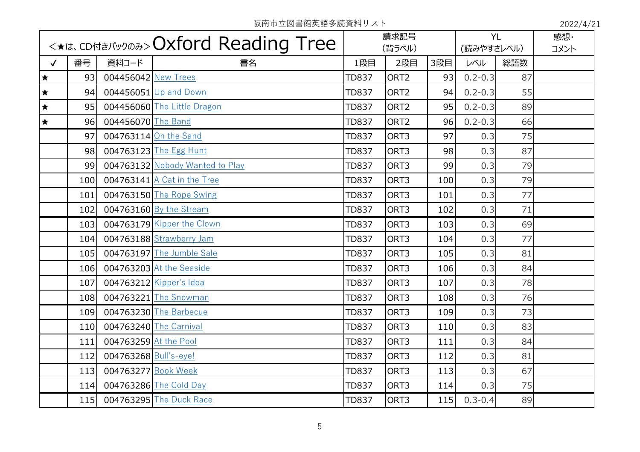|              |     |                       |                                 | 請求記号<br>(背ラベル) |                  | <b>YL</b><br>(読みやすさレベル) |             | 感想·<br>コメント |  |
|--------------|-----|-----------------------|---------------------------------|----------------|------------------|-------------------------|-------------|-------------|--|
| $\checkmark$ | 番号  | 資料コード                 | 書名                              | 1段目            | 2段目              | 3段目                     | レベル         | 総語数         |  |
| $\star$      | 93  | 004456042 New Trees   |                                 | <b>TD837</b>   | ORT <sub>2</sub> | 93                      | $0.2 - 0.3$ | 87          |  |
| $\bigstar$   | 94  |                       | 004456051 Up and Down           | <b>TD837</b>   | ORT <sub>2</sub> | 94                      | $0.2 - 0.3$ | 55          |  |
| $\star$      | 95  |                       | 004456060 The Little Dragon     | <b>TD837</b>   | ORT <sub>2</sub> | 95                      | $0.2 - 0.3$ | 89          |  |
| $\star$      | 96  | 004456070 The Band    |                                 | <b>TD837</b>   | ORT <sub>2</sub> | 96                      | $0.2 - 0.3$ | 66          |  |
|              | 97  |                       | 004763114 On the Sand           | <b>TD837</b>   | ORT3             | 97                      | 0.3         | 75          |  |
|              | 98  |                       | 004763123 The Egg Hunt          | <b>TD837</b>   | ORT3             | 98                      | 0.3         | 87          |  |
|              | 99  |                       | 004763132 Nobody Wanted to Play | <b>TD837</b>   | ORT3             | 99                      | 0.3         | 79          |  |
|              | 100 |                       | 004763141 A Cat in the Tree     | <b>TD837</b>   | ORT3             | 100                     | 0.3         | 79          |  |
|              | 101 |                       | 004763150 The Rope Swing        | <b>TD837</b>   | ORT3             | 101                     | 0.3         | 77          |  |
|              | 102 |                       | 004763160 By the Stream         | <b>TD837</b>   | ORT3             | 102                     | 0.3         | 71          |  |
|              | 103 |                       | 004763179 Kipper the Clown      | <b>TD837</b>   | ORT3             | 103                     | 0.3         | 69          |  |
|              | 104 |                       | 004763188 Strawberry Jam        | <b>TD837</b>   | ORT3             | 104                     | 0.3         | 77          |  |
|              | 105 |                       | 004763197 The Jumble Sale       | <b>TD837</b>   | ORT3             | 105                     | 0.3         | 81          |  |
|              | 106 |                       | 004763203 At the Seaside        | <b>TD837</b>   | ORT3             | 106                     | 0.3         | 84          |  |
|              | 107 |                       | 004763212 Kipper's Idea         | <b>TD837</b>   | ORT3             | 107                     | 0.3         | 78          |  |
|              | 108 |                       | 004763221 The Snowman           | <b>TD837</b>   | ORT3             | 108                     | 0.3         | 76          |  |
|              | 109 |                       | 004763230 The Barbecue          | <b>TD837</b>   | ORT3             | 109                     | 0.3         | 73          |  |
|              | 110 |                       | 004763240 The Carnival          | <b>TD837</b>   | ORT3             | 110                     | 0.3         | 83          |  |
|              | 111 | 004763259 At the Pool |                                 | <b>TD837</b>   | ORT3             | 111                     | 0.3         | 84          |  |
|              | 112 | 004763268 Bull's-eye! |                                 | <b>TD837</b>   | ORT3             | 112                     | 0.3         | 81          |  |
|              | 113 | 004763277 Book Week   |                                 | <b>TD837</b>   | ORT3             | 113                     | 0.3         | 67          |  |
|              | 114 |                       | 004763286 The Cold Day          | <b>TD837</b>   | ORT3             | 114                     | 0.3         | 75          |  |
|              | 115 |                       | 004763295 The Duck Race         | <b>TD837</b>   | ORT3             | 115                     | $0.3 - 0.4$ | 89          |  |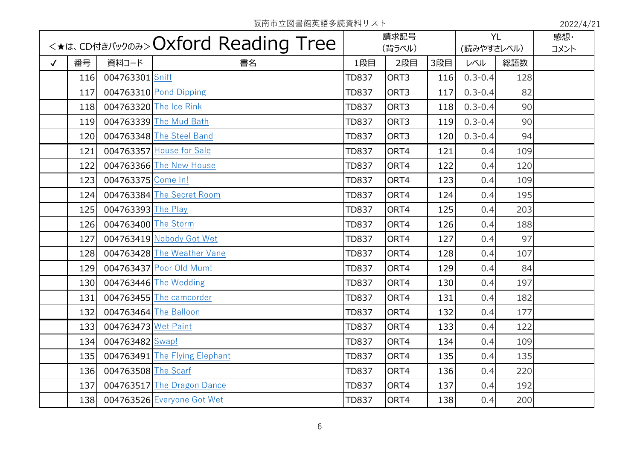|              |     |                       | <*it. CDfJ*J(y) Dxford Reading Tree |              | 請求記号   |     | <b>YL</b>   |     | 感想·  |
|--------------|-----|-----------------------|-------------------------------------|--------------|--------|-----|-------------|-----|------|
|              |     |                       |                                     |              | (背ラベル) |     | (読みやすさレベル)  |     | コメント |
| $\checkmark$ | 番号  | 資料コード                 | 書名                                  | 1段目          | 2段目    | 3段目 | レベル         | 総語数 |      |
|              | 116 | 004763301 Sniff       |                                     | <b>TD837</b> | ORT3   | 116 | $0.3 - 0.4$ | 128 |      |
|              | 117 |                       | $004763310$ Pond Dipping            | <b>TD837</b> | ORT3   | 117 | $0.3 - 0.4$ | 82  |      |
|              | 118 |                       | 004763320 The Ice Rink              | <b>TD837</b> | ORT3   | 118 | $0.3 - 0.4$ | 90  |      |
|              | 119 |                       | 004763339 The Mud Bath              | <b>TD837</b> | ORT3   | 119 | $0.3 - 0.4$ | 90  |      |
|              | 120 |                       | 004763348 The Steel Band            | <b>TD837</b> | ORT3   | 120 | $0.3 - 0.4$ | 94  |      |
|              | 121 |                       | 004763357 House for Sale            | <b>TD837</b> | ORT4   | 121 | 0.4         | 109 |      |
|              | 122 |                       | 004763366 The New House             | <b>TD837</b> | ORT4   | 122 | 0.4         | 120 |      |
|              | 123 | 004763375 Come In!    |                                     | <b>TD837</b> | ORT4   | 123 | 0.4         | 109 |      |
|              | 124 |                       | 004763384 The Secret Room           | <b>TD837</b> | ORT4   | 124 | 0.4         | 195 |      |
|              | 125 | 004763393 The Play    |                                     | <b>TD837</b> | ORT4   | 125 | 0.4         | 203 |      |
|              | 126 | 004763400 The Storm   |                                     | <b>TD837</b> | ORT4   | 126 | 0.4         | 188 |      |
|              | 127 |                       | 004763419 Nobody Got Wet            | <b>TD837</b> | ORT4   | 127 | 0.4         | 97  |      |
|              | 128 |                       | 004763428 The Weather Vane          | <b>TD837</b> | ORT4   | 128 | 0.4         | 107 |      |
|              | 129 |                       | 004763437 Poor Old Mum!             | <b>TD837</b> | ORT4   | 129 | 0.4         | 84  |      |
|              | 130 |                       | 004763446 The Wedding               | <b>TD837</b> | ORT4   | 130 | 0.4         | 197 |      |
|              | 131 |                       | 004763455 The camcorder             | <b>TD837</b> | ORT4   | 131 | 0.4         | 182 |      |
|              | 132 | 004763464 The Balloon |                                     | <b>TD837</b> | ORT4   | 132 | 0.4         | 177 |      |
|              | 133 | 004763473 Wet Paint   |                                     | <b>TD837</b> | ORT4   | 133 | 0.4         | 122 |      |
|              | 134 | 004763482 Swap!       |                                     | <b>TD837</b> | ORT4   | 134 | 0.4         | 109 |      |
|              | 135 |                       | 004763491 The Flying Elephant       | <b>TD837</b> | ORT4   | 135 | 0.4         | 135 |      |
|              | 136 | 004763508 The Scarf   |                                     | <b>TD837</b> | ORT4   | 136 | 0.4         | 220 |      |
|              | 137 |                       | 004763517 The Dragon Dance          | <b>TD837</b> | ORT4   | 137 | 0.4         | 192 |      |
|              | 138 |                       | 004763526 Everyone Got Wet          | <b>TD837</b> | ORT4   | 138 | 0.4         | 200 |      |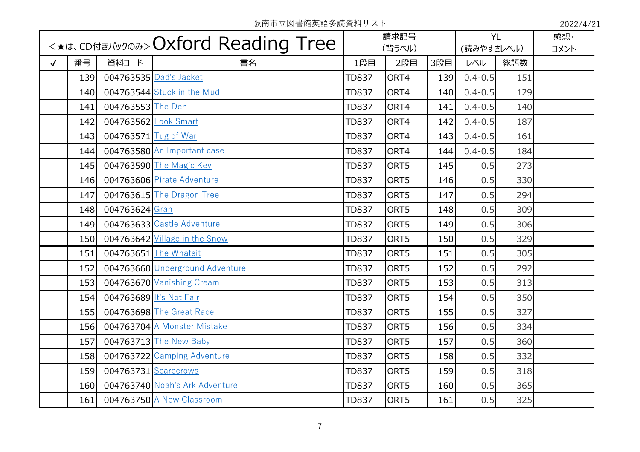|              |     |                         |                                           |              | 請求記号   |     | <b>YL</b>   |     | 感想·  |
|--------------|-----|-------------------------|-------------------------------------------|--------------|--------|-----|-------------|-----|------|
|              |     |                         | <*<*.<br>contary only CXford Reading Tree |              | (背ラベル) |     | (読みやすさレベル)  |     | コメント |
| $\checkmark$ | 番号  | 資料コード                   | 書名                                        | 1段目          | 2段目    | 3段目 | レベル         | 総語数 |      |
|              | 139 |                         | 004763535 Dad's Jacket                    | <b>TD837</b> | ORT4   | 139 | $0.4 - 0.5$ | 151 |      |
|              | 140 |                         | 004763544 Stuck in the Mud                | <b>TD837</b> | ORT4   | 140 | $0.4 - 0.5$ | 129 |      |
|              | 141 | 004763553 The Den       |                                           | <b>TD837</b> | ORT4   | 141 | $0.4 - 0.5$ | 140 |      |
|              | 142 | 004763562 Look Smart    |                                           | <b>TD837</b> | ORT4   | 142 | $0.4 - 0.5$ | 187 |      |
|              | 143 | 004763571 Tug of War    |                                           | <b>TD837</b> | ORT4   | 143 | $0.4 - 0.5$ | 161 |      |
|              | 144 |                         | 004763580 An Important case               | <b>TD837</b> | ORT4   | 144 | $0.4 - 0.5$ | 184 |      |
|              | 145 |                         | 004763590 The Magic Key                   | <b>TD837</b> | ORT5   | 145 | 0.5         | 273 |      |
|              | 146 |                         | 004763606 Pirate Adventure                | <b>TD837</b> | ORT5   | 146 | 0.5         | 330 |      |
|              | 147 |                         | 004763615 The Dragon Tree                 | <b>TD837</b> | ORT5   | 147 | 0.5         | 294 |      |
|              | 148 | 004763624 Gran          |                                           | <b>TD837</b> | ORT5   | 148 | 0.5         | 309 |      |
|              | 149 |                         | 004763633 Castle Adventure                | <b>TD837</b> | ORT5   | 149 | 0.5         | 306 |      |
|              | 150 |                         | 004763642 Village in the Snow             | <b>TD837</b> | ORT5   | 150 | 0.5         | 329 |      |
|              | 151 |                         | 004763651 The Whatsit                     | <b>TD837</b> | ORT5   | 151 | 0.5         | 305 |      |
|              | 152 |                         | 004763660 Underground Adventure           | <b>TD837</b> | ORT5   | 152 | 0.5         | 292 |      |
|              | 153 |                         | 004763670 Vanishing Cream                 | <b>TD837</b> | ORT5   | 153 | 0.5         | 313 |      |
|              | 154 | 004763689 It's Not Fair |                                           | <b>TD837</b> | ORT5   | 154 | 0.5         | 350 |      |
|              | 155 |                         | 004763698 The Great Race                  | <b>TD837</b> | ORT5   | 155 | 0.5         | 327 |      |
|              | 156 |                         | 004763704 A Monster Mistake               | <b>TD837</b> | ORT5   | 156 | 0.5         | 334 |      |
|              | 157 |                         | 004763713 The New Baby                    | <b>TD837</b> | ORT5   | 157 | 0.5         | 360 |      |
|              | 158 |                         | 004763722 Camping Adventure               | <b>TD837</b> | ORT5   | 158 | 0.5         | 332 |      |
|              | 159 | 004763731 Scarecrows    |                                           | <b>TD837</b> | ORT5   | 159 | 0.5         | 318 |      |
|              | 160 |                         | 004763740 Noah's Ark Adventure            | <b>TD837</b> | ORT5   | 160 | 0.5         | 365 |      |
|              | 161 |                         | 004763750 A New Classroom                 | <b>TD837</b> | ORT5   | 161 | 0.5         | 325 |      |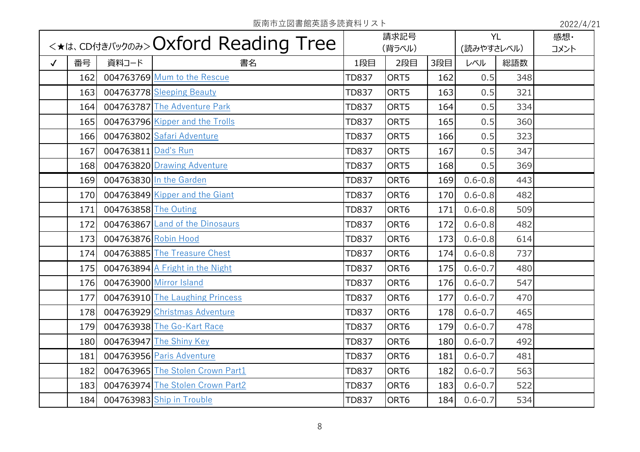| <*<*.<br>cDA45/(y) and<br>CDA16 < cDA16 < cDA16 < cDA16 < cDA16 < cDA16 < cDA16 < cDA16 < cDA16 < cDA16 < cDA16 < cDA16 < cDA16 < cDA16 < cDA16 < cD |            |                      | 請求記号<br>(背ラベル)                   |              | <b>YL</b><br>(読みやすさレベル) |     | 感想·<br>コメント |     |  |
|------------------------------------------------------------------------------------------------------------------------------------------------------|------------|----------------------|----------------------------------|--------------|-------------------------|-----|-------------|-----|--|
| $\checkmark$                                                                                                                                         | 番号         | 資料コード                | 書名                               | 1段目          | 2段目                     | 3段目 | レベル         | 総語数 |  |
|                                                                                                                                                      |            |                      | 004763769 Mum to the Rescue      |              |                         |     |             |     |  |
|                                                                                                                                                      | 162        |                      |                                  | <b>TD837</b> | ORT5                    | 162 | 0.5         | 348 |  |
|                                                                                                                                                      | 163        |                      | 004763778 Sleeping Beauty        | <b>TD837</b> | ORT5                    | 163 | 0.5         | 321 |  |
|                                                                                                                                                      | 164        |                      | 004763787 The Adventure Park     | <b>TD837</b> | ORT5                    | 164 | 0.5         | 334 |  |
|                                                                                                                                                      | 165        |                      | 004763796 Kipper and the Trolls  | <b>TD837</b> | ORT5                    | 165 | 0.5         | 360 |  |
|                                                                                                                                                      | 166        |                      | 004763802 Safari Adventure       | <b>TD837</b> | ORT5                    | 166 | 0.5         | 323 |  |
|                                                                                                                                                      | 167        | 004763811 Dad's Run  |                                  | <b>TD837</b> | ORT5                    | 167 | 0.5         | 347 |  |
|                                                                                                                                                      | 168        |                      | 004763820 Drawing Adventure      | <b>TD837</b> | ORT5                    | 168 | 0.5         | 369 |  |
|                                                                                                                                                      | 169        |                      | 004763830 In the Garden          | <b>TD837</b> | ORT6                    | 169 | $0.6 - 0.8$ | 443 |  |
|                                                                                                                                                      | 170        |                      | 004763849 Kipper and the Giant   | <b>TD837</b> | ORT6                    | 170 | $0.6 - 0.8$ | 482 |  |
|                                                                                                                                                      | 171        | 004763858 The Outing |                                  | <b>TD837</b> | ORT6                    | 171 | $0.6 - 0.8$ | 509 |  |
|                                                                                                                                                      | 172        |                      | 004763867 Land of the Dinosaurs  | <b>TD837</b> | ORT6                    | 172 | $0.6 - 0.8$ | 482 |  |
|                                                                                                                                                      | 173        | 004763876 Robin Hood |                                  | <b>TD837</b> | ORT6                    | 173 | $0.6 - 0.8$ | 614 |  |
|                                                                                                                                                      | 174        |                      | 004763885 The Treasure Chest     | <b>TD837</b> | ORT6                    | 174 | $0.6 - 0.8$ | 737 |  |
|                                                                                                                                                      | 175        |                      | 004763894 A Fright in the Night  | <b>TD837</b> | ORT6                    | 175 | $0.6 - 0.7$ | 480 |  |
|                                                                                                                                                      | <b>176</b> |                      | 004763900 Mirror Island          | <b>TD837</b> | ORT6                    | 176 | $0.6 - 0.7$ | 547 |  |
|                                                                                                                                                      | 177        |                      | 004763910 The Laughing Princess  | <b>TD837</b> | ORT6                    | 177 | $0.6 - 0.7$ | 470 |  |
|                                                                                                                                                      | 178        |                      | 004763929 Christmas Adventure    | <b>TD837</b> | ORT6                    | 178 | $0.6 - 0.7$ | 465 |  |
|                                                                                                                                                      | 179        |                      | 004763938 The Go-Kart Race       | <b>TD837</b> | ORT6                    | 179 | $0.6 - 0.7$ | 478 |  |
|                                                                                                                                                      | 180        |                      | 004763947 The Shiny Key          | <b>TD837</b> | ORT6                    | 180 | $0.6 - 0.7$ | 492 |  |
|                                                                                                                                                      | 181        |                      | 004763956 Paris Adventure        | <b>TD837</b> | ORT6                    | 181 | $0.6 - 0.7$ | 481 |  |
|                                                                                                                                                      | 182        |                      | 004763965 The Stolen Crown Part1 | <b>TD837</b> | ORT6                    | 182 | $0.6 - 0.7$ | 563 |  |
|                                                                                                                                                      | 183        |                      | 004763974 The Stolen Crown Part2 | <b>TD837</b> | ORT6                    | 183 | $0.6 - 0.7$ | 522 |  |
|                                                                                                                                                      | 184        |                      | 004763983 Ship in Trouble        | <b>TD837</b> | ORT6                    | 184 | $0.6 - 0.7$ | 534 |  |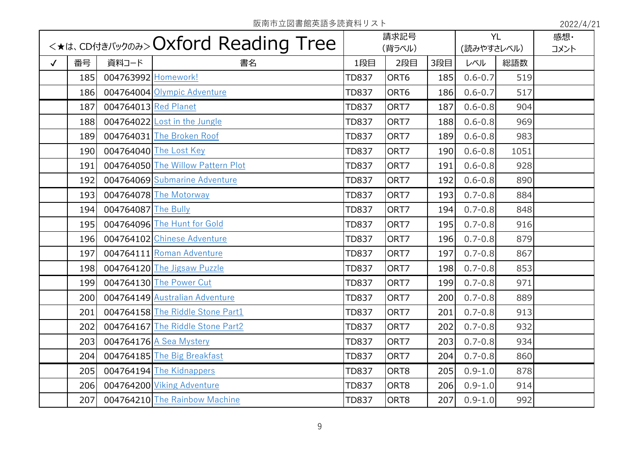|              | <*<*.<br>cDA45/(y) and<br>CDA16 < cDA16 < cDA16 < cDA16 < cDA16 < cDA16 < cDA16 < cDA16 < cDA16 < cDA16 < cDA16 < cDA16 < cDA16 < cDA16 < cDA16 < cD |                      |                                   | 請求記号<br>(背ラベル) |      | <b>YL</b><br>(読みやすさレベル) |             | 感想·<br>コメント |  |
|--------------|------------------------------------------------------------------------------------------------------------------------------------------------------|----------------------|-----------------------------------|----------------|------|-------------------------|-------------|-------------|--|
| $\checkmark$ | 番号                                                                                                                                                   | 資料コード                | 書名                                | 1段目            | 2段目  | 3段目                     | レベル         | 総語数         |  |
|              | 185                                                                                                                                                  | 004763992 Homework!  |                                   | <b>TD837</b>   | ORT6 | 185                     | $0.6 - 0.7$ | 519         |  |
|              | 186                                                                                                                                                  |                      | 004764004 Olympic Adventure       | <b>TD837</b>   | ORT6 | 186                     | $0.6 - 0.7$ | 517         |  |
|              | 187                                                                                                                                                  | 004764013 Red Planet |                                   | <b>TD837</b>   | ORT7 | 187                     | $0.6 - 0.8$ | 904         |  |
|              | 188                                                                                                                                                  |                      | 004764022 Lost in the Jungle      | <b>TD837</b>   | ORT7 | 188                     | $0.6 - 0.8$ | 969         |  |
|              | 189                                                                                                                                                  |                      | 004764031 The Broken Roof         | <b>TD837</b>   | ORT7 | 189                     | $0.6 - 0.8$ | 983         |  |
|              | 190                                                                                                                                                  |                      | 004764040 The Lost Key            | <b>TD837</b>   | ORT7 | 190                     | $0.6 - 0.8$ | 1051        |  |
|              | 191                                                                                                                                                  |                      | 004764050 The Willow Pattern Plot | <b>TD837</b>   | ORT7 | 191                     | $0.6 - 0.8$ | 928         |  |
|              | 192                                                                                                                                                  |                      | 004764069 Submarine Adventure     | <b>TD837</b>   | ORT7 | 192                     | $0.6 - 0.8$ | 890         |  |
|              | 193                                                                                                                                                  |                      | 004764078 The Motorway            | <b>TD837</b>   | ORT7 | 193                     | $0.7 - 0.8$ | 884         |  |
|              | 194                                                                                                                                                  | 004764087 The Bully  |                                   | <b>TD837</b>   | ORT7 | 194                     | $0.7 - 0.8$ | 848         |  |
|              | 195                                                                                                                                                  |                      | 004764096 The Hunt for Gold       | <b>TD837</b>   | ORT7 | 195                     | $0.7 - 0.8$ | 916         |  |
|              | 196                                                                                                                                                  |                      | 004764102 Chinese Adventure       | <b>TD837</b>   | ORT7 | 196                     | $0.7 - 0.8$ | 879         |  |
|              | 197                                                                                                                                                  |                      | 004764111 Roman Adventure         | <b>TD837</b>   | ORT7 | 197                     | $0.7 - 0.8$ | 867         |  |
|              | 198                                                                                                                                                  |                      | 004764120 The Jigsaw Puzzle       | <b>TD837</b>   | ORT7 | 198                     | $0.7 - 0.8$ | 853         |  |
|              | 199                                                                                                                                                  |                      | 004764130 The Power Cut           | <b>TD837</b>   | ORT7 | 199                     | $0.7 - 0.8$ | 971         |  |
|              | 200                                                                                                                                                  |                      | 004764149 Australian Adventure    | <b>TD837</b>   | ORT7 | 200                     | $0.7 - 0.8$ | 889         |  |
|              | 201                                                                                                                                                  |                      | 004764158 The Riddle Stone Part1  | <b>TD837</b>   | ORT7 | 201                     | $0.7 - 0.8$ | 913         |  |
|              | 202                                                                                                                                                  |                      | 004764167 The Riddle Stone Part2  | <b>TD837</b>   | ORT7 | 202                     | $0.7 - 0.8$ | 932         |  |
|              | 203                                                                                                                                                  |                      | 004764176 A Sea Mystery           | <b>TD837</b>   | ORT7 | 203                     | $0.7 - 0.8$ | 934         |  |
|              | 204                                                                                                                                                  |                      | 004764185 The Big Breakfast       | <b>TD837</b>   | ORT7 | 204                     | $0.7 - 0.8$ | 860         |  |
|              | 205                                                                                                                                                  |                      | 004764194 The Kidnappers          | <b>TD837</b>   | ORT8 | 205                     | $0.9 - 1.0$ | 878         |  |
|              | 206                                                                                                                                                  |                      | 004764200 Viking Adventure        | <b>TD837</b>   | ORT8 | 206                     | $0.9 - 1.0$ | 914         |  |
|              | 207                                                                                                                                                  |                      | 004764210 The Rainbow Machine     | <b>TD837</b>   | ORT8 | 207                     | $0.9 - 1.0$ | 992         |  |